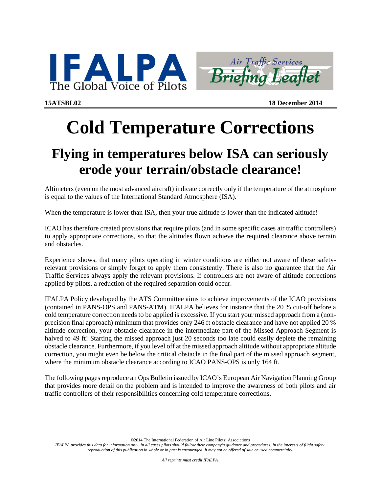



**15ATSBL02 18 December 2014**

# **Cold Temperature Corrections**

## **Flying in temperatures below ISA can seriously erode your terrain/obstacle clearance!**

Altimeters (even on the most advanced aircraft) indicate correctly only if the temperature of the atmosphere is equal to the values of the International Standard Atmosphere (ISA).

When the temperature is lower than ISA, then your true altitude is lower than the indicated altitude!

ICAO has therefore created provisions that require pilots (and in some specific cases air traffic controllers) to apply appropriate corrections, so that the altitudes flown achieve the required clearance above terrain and obstacles.

Experience shows, that many pilots operating in winter conditions are either not aware of these safetyrelevant provisions or simply forget to apply them consistently. There is also no guarantee that the Air Traffic Services always apply the relevant provisions. If controllers are not aware of altitude corrections applied by pilots, a reduction of the required separation could occur.

IFALPA Policy developed by the ATS Committee aims to achieve improvements of the ICAO provisions (contained in PANS-OPS and PANS-ATM). IFALPA believes for instance that the 20 % cut-off before a cold temperature correction needs to be applied is excessive. If you start your missed approach from a (nonprecision final approach) minimum that provides only 246 ft obstacle clearance and have not applied 20 % altitude correction, your obstacle clearance in the intermediate part of the Missed Approach Segment is halved to 49 ft! Starting the missed approach just 20 seconds too late could easily deplete the remaining obstacle clearance. Furthermore, if you level off at the missed approach altitude without appropriate altitude correction, you might even be below the critical obstacle in the final part of the missed approach segment, where the minimum obstacle clearance according to ICAO PANS-OPS is only 164 ft.

The following pages reproduce an Ops Bulletin issued by ICAO's European Air Navigation Planning Group that provides more detail on the problem and is intended to improve the awareness of both pilots and air traffic controllers of their responsibilities concerning cold temperature corrections.

©2014 The International Federation of Air Line Pilots' Associations

*IFALPA provides this data for information only, in all cases pilots should follow their company's guidance and procedures. In the interests of flight safety, reproduction of this publication in whole or in part is encouraged. It may not be offered of sale or used commercially.*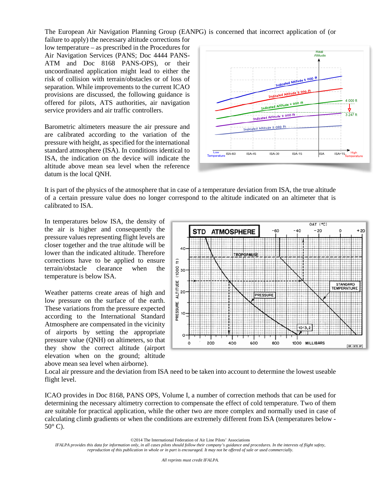The European Air Navigation Planning Group (EANPG) is concerned that incorrect application of (or

failure to apply) the necessary altitude corrections for low temperature – as prescribed in the Procedures for Air Navigation Services (PANS; Doc 4444 PANS-ATM and Doc 8168 PANS-OPS), or their uncoordinated application might lead to either the risk of collision with terrain/obstacles or of loss of separation. While improvements to the current ICAO provisions are discussed, the following guidance is offered for pilots, ATS authorities, air navigation service providers and air traffic controllers.

Barometric altimeters measure the air pressure and are calibrated according to the variation of the pressure with height, as specified for the international standard atmosphere (ISA). In conditions identical to ISA, the indication on the device will indicate the altitude above mean sea level when the reference datum is the local QNH.



It is part of the physics of the atmosphere that in case of a temperature deviation from ISA, the true altitude of a certain pressure value does no longer correspond to the altitude indicated on an altimeter that is calibrated to ISA.

In temperatures below ISA, the density of the air is higher and consequently the pressure values representing flight levels are closer together and the true altitude will be lower than the indicated altitude. Therefore corrections have to be applied to ensure terrain/obstacle clearance when the temperature is below ISA.

Weather patterns create areas of high and low pressure on the surface of the earth. These variations from the pressure expected according to the International Standard Atmosphere are compensated in the vicinity of airports by setting the appropriate pressure value (QNH) on altimeters, so that they show the correct altitude (airport elevation when on the ground; altitude above mean sea level when airborne).



Local air pressure and the deviation from ISA need to be taken into account to determine the lowest useable flight level.

ICAO provides in Doc 8168, PANS OPS, Volume I, a number of correction methods that can be used for determining the necessary altimetry correction to compensate the effect of cold temperature. Two of them are suitable for practical application, while the other two are more complex and normally used in case of calculating climb gradients or when the conditions are extremely different from ISA (temperatures below -  $50^{\circ}$  C).

©2014 The International Federation of Air Line Pilots' Associations

*IFALPA provides this data for information only, in all cases pilots should follow their company's guidance and procedures. In the interests of flight safety, reproduction of this publication in whole or in part is encouraged. It may not be offered of sale or used commercially.*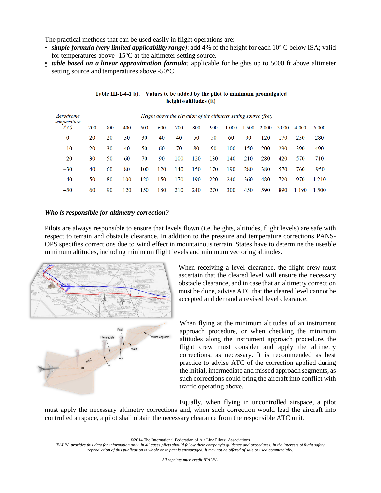The practical methods that can be used easily in flight operations are:

- *simple formula (very limited applicability range)*: add 4% of the height for each 10° C below ISA; valid for temperatures above -15°C at the altimeter setting source.
- *table based on a linear approximation formula:* applicable for heights up to 5000 ft above altimeter setting source and temperatures above -50°C

| Aerodrome<br>temperature<br>(°C) | Height above the elevation of the altimeter setting source (feet) |     |     |     |     |     |     |     |       |     |         |         |         |         |
|----------------------------------|-------------------------------------------------------------------|-----|-----|-----|-----|-----|-----|-----|-------|-----|---------|---------|---------|---------|
|                                  | 200                                                               | 300 | 400 | 500 | 600 | 700 | 800 | 900 | 1 000 | 500 | 2 0 0 0 | 3 0 0 0 | 4 0 0 0 | 5 0 0 0 |
| 0                                | 20                                                                | 20  | 30  | 30  | 40  | 40  | 50  | 50  | 60    | 90  | 120     | 170     | 230     | 280     |
| $-10$                            | 20                                                                | 30  | 40  | 50  | 60  | 70  | 80  | 90  | 100   | 150 | 200     | 290     | 390     | 490     |
| $-20$                            | 30                                                                | 50  | 60  | 70  | 90  | 100 | 120 | 130 | 140   | 210 | 280     | 420     | 570     | 710     |
| $-30$                            | 40                                                                | 60  | 80  | 100 | 120 | 140 | 150 | 170 | 190   | 280 | 380     | 570     | 760     | 950     |
| $-40$                            | 50                                                                | 80  | 100 | 120 | 150 | 170 | 190 | 220 | 240   | 360 | 480     | 720     | 970     | 1 2 1 0 |
| $-50$                            | 60                                                                | 90  | 120 | 150 | 180 | 210 | 240 | 270 | 300   | 450 | 590     | 890     | 190     | 1 500   |

Table III-1-4-1 b). Values to be added by the pilot to minimum promulgated heights/altitudes (ft)

#### *Who is responsible for altimetry correction?*

Pilots are always responsible to ensure that levels flown (i.e. heights, altitudes, flight levels) are safe with respect to terrain and obstacle clearance. In addition to the pressure and temperature corrections PANS-OPS specifies corrections due to wind effect in mountainous terrain. States have to determine the useable minimum altitudes, including minimum flight levels and minimum vectoring altitudes.





When receiving a level clearance, the flight crew must ascertain that the cleared level will ensure the necessary obstacle clearance, and in case that an altimetry correction must be done, advise ATC that the cleared level cannot be accepted and demand a revised level clearance.

When flying at the minimum altitudes of an instrument approach procedure, or when checking the minimum altitudes along the instrument approach procedure, the flight crew must consider and apply the altimetry corrections, as necessary. It is recommended as best practice to advise ATC of the correction applied during the initial, intermediate and missed approach segments, as such corrections could bring the aircraft into conflict with traffic operating above.

Equally, when flying in uncontrolled airspace, a pilot must apply the necessary altimetry corrections and, when such correction would lead the aircraft into controlled airspace, a pilot shall obtain the necessary clearance from the responsible ATC unit.

©2014 The International Federation of Air Line Pilots' Associations

*IFALPA provides this data for information only, in all cases pilots should follow their company's guidance and procedures. In the interests of flight safety, reproduction of this publication in whole or in part is encouraged. It may not be offered of sale or used commercially.*